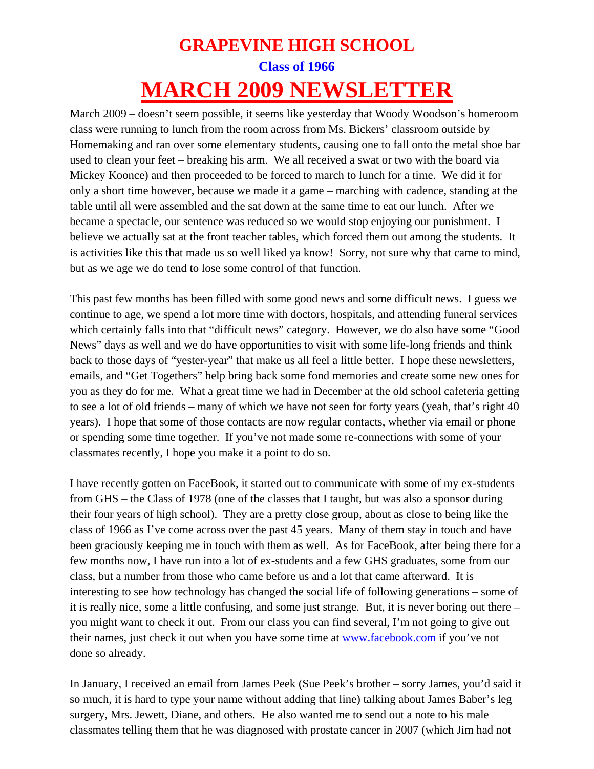## **GRAPEVINE HIGH SCHOOL Class of 1966 MARCH 2009 NEWSLETTER**

March 2009 – doesn't seem possible, it seems like yesterday that Woody Woodson's homeroom class were running to lunch from the room across from Ms. Bickers' classroom outside by Homemaking and ran over some elementary students, causing one to fall onto the metal shoe bar used to clean your feet – breaking his arm. We all received a swat or two with the board via Mickey Koonce) and then proceeded to be forced to march to lunch for a time. We did it for only a short time however, because we made it a game – marching with cadence, standing at the table until all were assembled and the sat down at the same time to eat our lunch. After we became a spectacle, our sentence was reduced so we would stop enjoying our punishment. I believe we actually sat at the front teacher tables, which forced them out among the students. It is activities like this that made us so well liked ya know! Sorry, not sure why that came to mind, but as we age we do tend to lose some control of that function.

This past few months has been filled with some good news and some difficult news. I guess we continue to age, we spend a lot more time with doctors, hospitals, and attending funeral services which certainly falls into that "difficult news" category. However, we do also have some "Good News" days as well and we do have opportunities to visit with some life-long friends and think back to those days of "yester-year" that make us all feel a little better. I hope these newsletters, emails, and "Get Togethers" help bring back some fond memories and create some new ones for you as they do for me. What a great time we had in December at the old school cafeteria getting to see a lot of old friends – many of which we have not seen for forty years (yeah, that's right 40 years). I hope that some of those contacts are now regular contacts, whether via email or phone or spending some time together. If you've not made some re-connections with some of your classmates recently, I hope you make it a point to do so.

I have recently gotten on FaceBook, it started out to communicate with some of my ex-students from GHS – the Class of 1978 (one of the classes that I taught, but was also a sponsor during their four years of high school). They are a pretty close group, about as close to being like the class of 1966 as I've come across over the past 45 years. Many of them stay in touch and have been graciously keeping me in touch with them as well. As for FaceBook, after being there for a few months now, I have run into a lot of ex-students and a few GHS graduates, some from our class, but a number from those who came before us and a lot that came afterward. It is interesting to see how technology has changed the social life of following generations – some of it is really nice, some a little confusing, and some just strange. But, it is never boring out there – you might want to check it out. From our class you can find several, I'm not going to give out their names, just check it out when you have some time at www.facebook.com if you've not done so already.

In January, I received an email from James Peek (Sue Peek's brother – sorry James, you'd said it so much, it is hard to type your name without adding that line) talking about James Baber's leg surgery, Mrs. Jewett, Diane, and others. He also wanted me to send out a note to his male classmates telling them that he was diagnosed with prostate cancer in 2007 (which Jim had not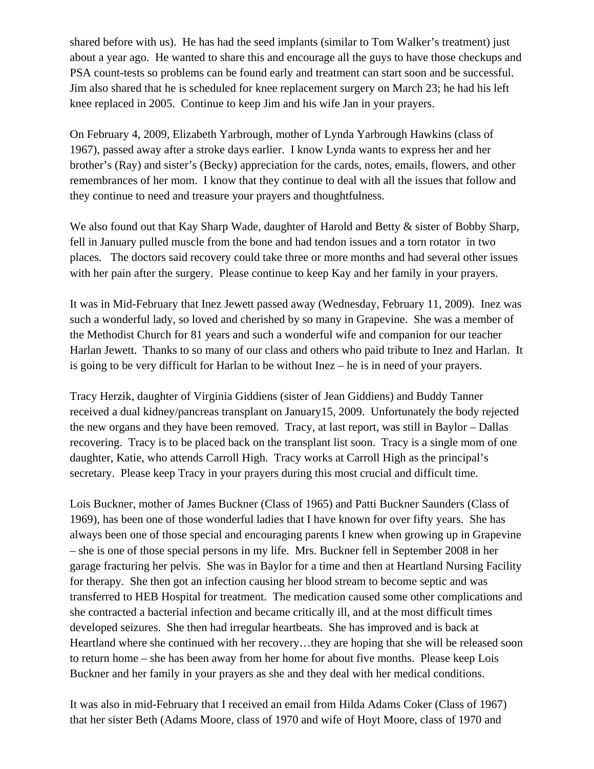shared before with us). He has had the seed implants (similar to Tom Walker's treatment) just about a year ago. He wanted to share this and encourage all the guys to have those checkups and PSA count-tests so problems can be found early and treatment can start soon and be successful. Jim also shared that he is scheduled for knee replacement surgery on March 23; he had his left knee replaced in 2005. Continue to keep Jim and his wife Jan in your prayers.

On February 4, 2009, Elizabeth Yarbrough, mother of Lynda Yarbrough Hawkins (class of 1967), passed away after a stroke days earlier. I know Lynda wants to express her and her brother's (Ray) and sister's (Becky) appreciation for the cards, notes, emails, flowers, and other remembrances of her mom. I know that they continue to deal with all the issues that follow and they continue to need and treasure your prayers and thoughtfulness.

We also found out that Kay Sharp Wade, daughter of Harold and Betty  $\&$  sister of Bobby Sharp, fell in January pulled muscle from the bone and had tendon issues and a torn rotator in two places. The doctors said recovery could take three or more months and had several other issues with her pain after the surgery. Please continue to keep Kay and her family in your prayers.

It was in Mid-February that Inez Jewett passed away (Wednesday, February 11, 2009). Inez was such a wonderful lady, so loved and cherished by so many in Grapevine. She was a member of the Methodist Church for 81 years and such a wonderful wife and companion for our teacher Harlan Jewett. Thanks to so many of our class and others who paid tribute to Inez and Harlan. It is going to be very difficult for Harlan to be without Inez – he is in need of your prayers.

Tracy Herzik, daughter of Virginia Giddiens (sister of Jean Giddiens) and Buddy Tanner received a dual kidney/pancreas transplant on January15, 2009. Unfortunately the body rejected the new organs and they have been removed. Tracy, at last report, was still in Baylor – Dallas recovering. Tracy is to be placed back on the transplant list soon. Tracy is a single mom of one daughter, Katie, who attends Carroll High. Tracy works at Carroll High as the principal's secretary. Please keep Tracy in your prayers during this most crucial and difficult time.

Lois Buckner, mother of James Buckner (Class of 1965) and Patti Buckner Saunders (Class of 1969), has been one of those wonderful ladies that I have known for over fifty years. She has always been one of those special and encouraging parents I knew when growing up in Grapevine – she is one of those special persons in my life. Mrs. Buckner fell in September 2008 in her garage fracturing her pelvis. She was in Baylor for a time and then at Heartland Nursing Facility for therapy. She then got an infection causing her blood stream to become septic and was transferred to HEB Hospital for treatment. The medication caused some other complications and she contracted a bacterial infection and became critically ill, and at the most difficult times developed seizures. She then had irregular heartbeats. She has improved and is back at Heartland where she continued with her recovery…they are hoping that she will be released soon to return home – she has been away from her home for about five months. Please keep Lois Buckner and her family in your prayers as she and they deal with her medical conditions.

It was also in mid-February that I received an email from Hilda Adams Coker (Class of 1967) that her sister Beth (Adams Moore, class of 1970 and wife of Hoyt Moore, class of 1970 and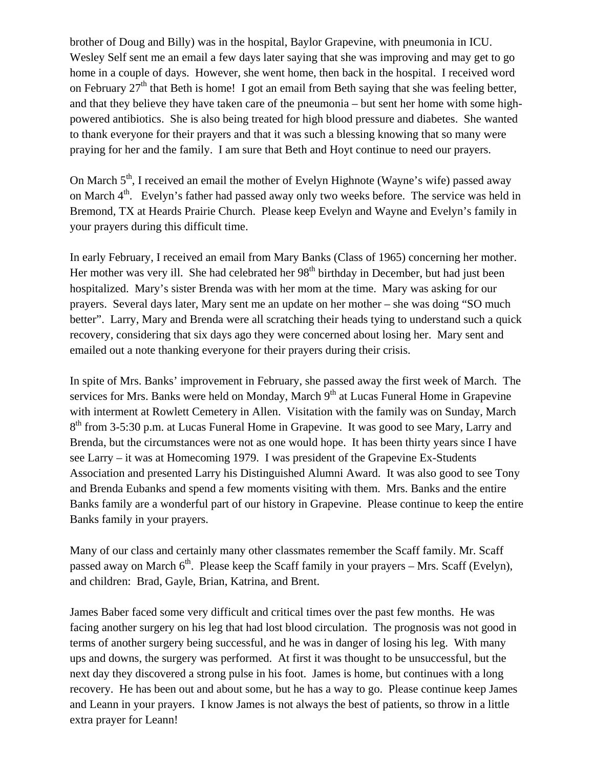brother of Doug and Billy) was in the hospital, Baylor Grapevine, with pneumonia in ICU. Wesley Self sent me an email a few days later saying that she was improving and may get to go home in a couple of days. However, she went home, then back in the hospital. I received word on February  $27<sup>th</sup>$  that Beth is home! I got an email from Beth saying that she was feeling better, and that they believe they have taken care of the pneumonia – but sent her home with some highpowered antibiotics. She is also being treated for high blood pressure and diabetes. She wanted to thank everyone for their prayers and that it was such a blessing knowing that so many were praying for her and the family. I am sure that Beth and Hoyt continue to need our prayers.

On March  $5<sup>th</sup>$ , I received an email the mother of Evelyn Highnote (Wayne's wife) passed away on March  $4<sup>th</sup>$ . Evelyn's father had passed away only two weeks before. The service was held in Bremond, TX at Heards Prairie Church. Please keep Evelyn and Wayne and Evelyn's family in your prayers during this difficult time.

In early February, I received an email from Mary Banks (Class of 1965) concerning her mother. Her mother was very ill. She had celebrated her 98<sup>th</sup> birthday in December, but had just been hospitalized. Mary's sister Brenda was with her mom at the time. Mary was asking for our prayers. Several days later, Mary sent me an update on her mother – she was doing "SO much better". Larry, Mary and Brenda were all scratching their heads tying to understand such a quick recovery, considering that six days ago they were concerned about losing her. Mary sent and emailed out a note thanking everyone for their prayers during their crisis.

In spite of Mrs. Banks' improvement in February, she passed away the first week of March. The services for Mrs. Banks were held on Monday, March  $9<sup>th</sup>$  at Lucas Funeral Home in Grapevine with interment at Rowlett Cemetery in Allen. Visitation with the family was on Sunday, March 8<sup>th</sup> from 3-5:30 p.m. at Lucas Funeral Home in Grapevine. It was good to see Mary, Larry and Brenda, but the circumstances were not as one would hope. It has been thirty years since I have see Larry – it was at Homecoming 1979. I was president of the Grapevine Ex-Students Association and presented Larry his Distinguished Alumni Award. It was also good to see Tony and Brenda Eubanks and spend a few moments visiting with them. Mrs. Banks and the entire Banks family are a wonderful part of our history in Grapevine. Please continue to keep the entire Banks family in your prayers.

Many of our class and certainly many other classmates remember the Scaff family. Mr. Scaff passed away on March  $6<sup>th</sup>$ . Please keep the Scaff family in your prayers – Mrs. Scaff (Evelyn), and children: Brad, Gayle, Brian, Katrina, and Brent.

James Baber faced some very difficult and critical times over the past few months. He was facing another surgery on his leg that had lost blood circulation. The prognosis was not good in terms of another surgery being successful, and he was in danger of losing his leg. With many ups and downs, the surgery was performed. At first it was thought to be unsuccessful, but the next day they discovered a strong pulse in his foot. James is home, but continues with a long recovery. He has been out and about some, but he has a way to go. Please continue keep James and Leann in your prayers. I know James is not always the best of patients, so throw in a little extra prayer for Leann!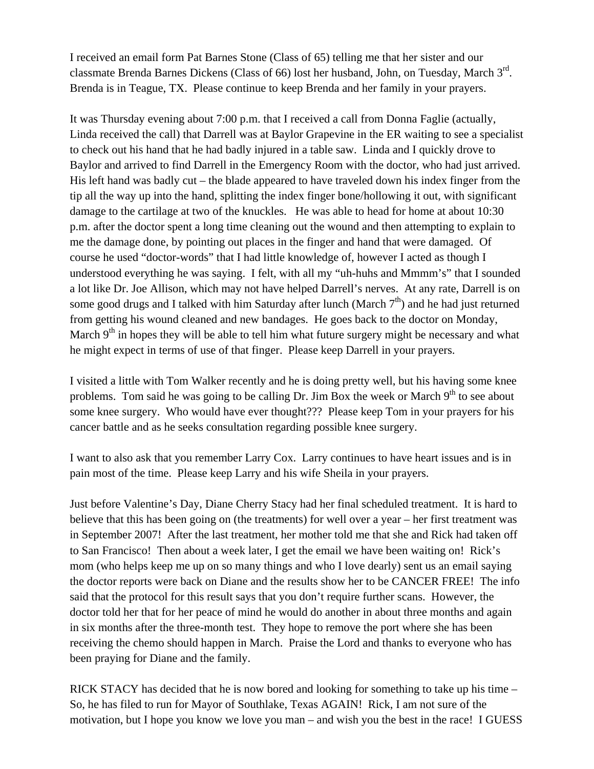I received an email form Pat Barnes Stone (Class of 65) telling me that her sister and our classmate Brenda Barnes Dickens (Class of 66) lost her husband, John, on Tuesday, March  $3<sup>rd</sup>$ . Brenda is in Teague, TX. Please continue to keep Brenda and her family in your prayers.

It was Thursday evening about 7:00 p.m. that I received a call from Donna Faglie (actually, Linda received the call) that Darrell was at Baylor Grapevine in the ER waiting to see a specialist to check out his hand that he had badly injured in a table saw. Linda and I quickly drove to Baylor and arrived to find Darrell in the Emergency Room with the doctor, who had just arrived. His left hand was badly cut – the blade appeared to have traveled down his index finger from the tip all the way up into the hand, splitting the index finger bone/hollowing it out, with significant damage to the cartilage at two of the knuckles. He was able to head for home at about 10:30 p.m. after the doctor spent a long time cleaning out the wound and then attempting to explain to me the damage done, by pointing out places in the finger and hand that were damaged. Of course he used "doctor-words" that I had little knowledge of, however I acted as though I understood everything he was saying. I felt, with all my "uh-huhs and Mmmm's" that I sounded a lot like Dr. Joe Allison, which may not have helped Darrell's nerves. At any rate, Darrell is on some good drugs and I talked with him Saturday after lunch (March  $7<sup>th</sup>$ ) and he had just returned from getting his wound cleaned and new bandages. He goes back to the doctor on Monday, March  $9<sup>th</sup>$  in hopes they will be able to tell him what future surgery might be necessary and what he might expect in terms of use of that finger. Please keep Darrell in your prayers.

I visited a little with Tom Walker recently and he is doing pretty well, but his having some knee problems. Tom said he was going to be calling Dr. Jim Box the week or March  $9<sup>th</sup>$  to see about some knee surgery. Who would have ever thought??? Please keep Tom in your prayers for his cancer battle and as he seeks consultation regarding possible knee surgery.

I want to also ask that you remember Larry Cox. Larry continues to have heart issues and is in pain most of the time. Please keep Larry and his wife Sheila in your prayers.

Just before Valentine's Day, Diane Cherry Stacy had her final scheduled treatment. It is hard to believe that this has been going on (the treatments) for well over a year – her first treatment was in September 2007! After the last treatment, her mother told me that she and Rick had taken off to San Francisco! Then about a week later, I get the email we have been waiting on! Rick's mom (who helps keep me up on so many things and who I love dearly) sent us an email saying the doctor reports were back on Diane and the results show her to be CANCER FREE! The info said that the protocol for this result says that you don't require further scans. However, the doctor told her that for her peace of mind he would do another in about three months and again in six months after the three-month test. They hope to remove the port where she has been receiving the chemo should happen in March. Praise the Lord and thanks to everyone who has been praying for Diane and the family.

RICK STACY has decided that he is now bored and looking for something to take up his time – So, he has filed to run for Mayor of Southlake, Texas AGAIN! Rick, I am not sure of the motivation, but I hope you know we love you man – and wish you the best in the race! I GUESS